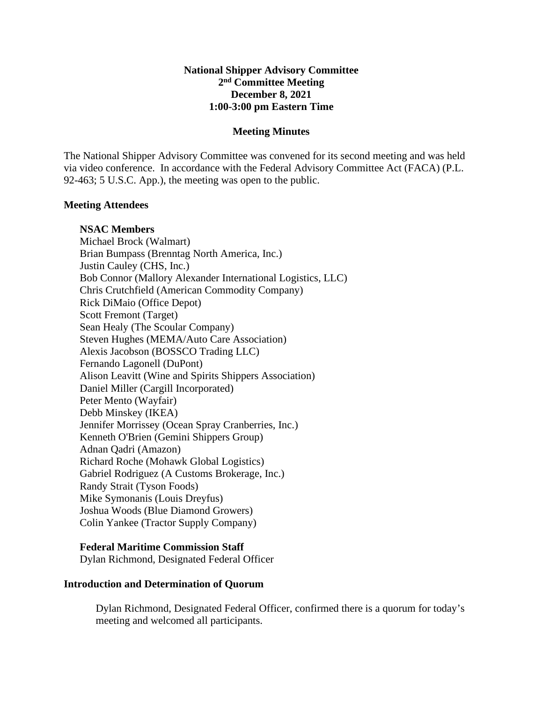# **National Shipper Advisory Committee 2nd Committee Meeting December 8, 2021 1:00-3:00 pm Eastern Time**

### **Meeting Minutes**

The National Shipper Advisory Committee was convened for its second meeting and was held via video conference. In accordance with the Federal Advisory Committee Act (FACA) (P.L. 92-463; 5 U.S.C. App.), the meeting was open to the public.

## **Meeting Attendees**

## **NSAC Members**

Michael Brock (Walmart) Brian Bumpass (Brenntag North America, Inc.) Justin Cauley (CHS, Inc.) Bob Connor (Mallory Alexander International Logistics, LLC) Chris Crutchfield (American Commodity Company) Rick DiMaio (Office Depot) Scott Fremont (Target) Sean Healy (The Scoular Company) Steven Hughes (MEMA/Auto Care Association) Alexis Jacobson (BOSSCO Trading LLC) Fernando Lagonell (DuPont) Alison Leavitt (Wine and Spirits Shippers Association) Daniel Miller (Cargill Incorporated) Peter Mento (Wayfair) Debb Minskey (IKEA) Jennifer Morrissey (Ocean Spray Cranberries, Inc.) Kenneth O'Brien (Gemini Shippers Group) Adnan Qadri (Amazon) Richard Roche (Mohawk Global Logistics) Gabriel Rodriguez (A Customs Brokerage, Inc.) Randy Strait (Tyson Foods) Mike Symonanis (Louis Dreyfus) Joshua Woods (Blue Diamond Growers) Colin Yankee (Tractor Supply Company)

# **Federal Maritime Commission Staff**

Dylan Richmond, Designated Federal Officer

### **Introduction and Determination of Quorum**

Dylan Richmond, Designated Federal Officer, confirmed there is a quorum for today's meeting and welcomed all participants.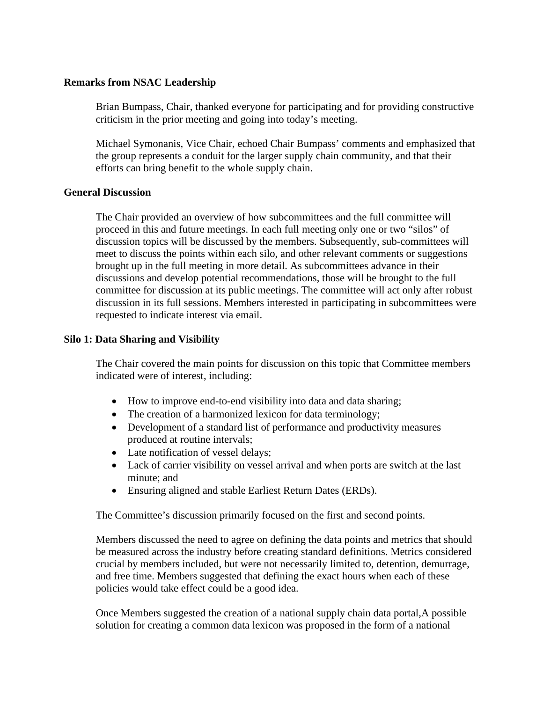# **Remarks from NSAC Leadership**

Brian Bumpass, Chair, thanked everyone for participating and for providing constructive criticism in the prior meeting and going into today's meeting.

Michael Symonanis, Vice Chair, echoed Chair Bumpass' comments and emphasized that the group represents a conduit for the larger supply chain community, and that their efforts can bring benefit to the whole supply chain.

## **General Discussion**

The Chair provided an overview of how subcommittees and the full committee will proceed in this and future meetings. In each full meeting only one or two "silos" of discussion topics will be discussed by the members. Subsequently, sub-committees will meet to discuss the points within each silo, and other relevant comments or suggestions brought up in the full meeting in more detail. As subcommittees advance in their discussions and develop potential recommendations, those will be brought to the full committee for discussion at its public meetings. The committee will act only after robust discussion in its full sessions. Members interested in participating in subcommittees were requested to indicate interest via email.

# **Silo 1: Data Sharing and Visibility**

The Chair covered the main points for discussion on this topic that Committee members indicated were of interest, including:

- How to improve end-to-end visibility into data and data sharing;
- The creation of a harmonized lexicon for data terminology;
- Development of a standard list of performance and productivity measures produced at routine intervals;
- Late notification of vessel delays;
- Lack of carrier visibility on vessel arrival and when ports are switch at the last minute; and
- Ensuring aligned and stable Earliest Return Dates (ERDs).

The Committee's discussion primarily focused on the first and second points.

Members discussed the need to agree on defining the data points and metrics that should be measured across the industry before creating standard definitions. Metrics considered crucial by members included, but were not necessarily limited to, detention, demurrage, and free time. Members suggested that defining the exact hours when each of these policies would take effect could be a good idea.

Once Members suggested the creation of a national supply chain data portal,A possible solution for creating a common data lexicon was proposed in the form of a national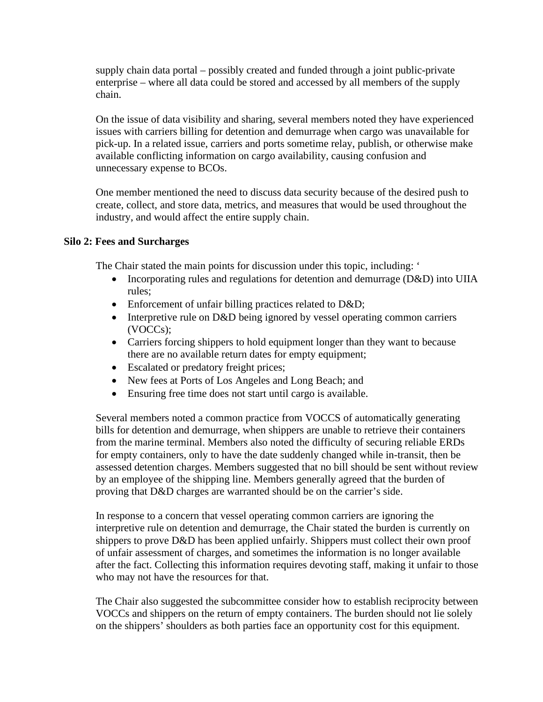supply chain data portal – possibly created and funded through a joint public-private enterprise – where all data could be stored and accessed by all members of the supply chain.

On the issue of data visibility and sharing, several members noted they have experienced issues with carriers billing for detention and demurrage when cargo was unavailable for pick-up. In a related issue, carriers and ports sometime relay, publish, or otherwise make available conflicting information on cargo availability, causing confusion and unnecessary expense to BCOs.

One member mentioned the need to discuss data security because of the desired push to create, collect, and store data, metrics, and measures that would be used throughout the industry, and would affect the entire supply chain.

# **Silo 2: Fees and Surcharges**

The Chair stated the main points for discussion under this topic, including: '

- Incorporating rules and regulations for detention and demurrage (D&D) into UIIA rules;
- Enforcement of unfair billing practices related to D&D;
- Interpretive rule on D&D being ignored by vessel operating common carriers (VOCCs);
- Carriers forcing shippers to hold equipment longer than they want to because there are no available return dates for empty equipment;
- Escalated or predatory freight prices;
- New fees at Ports of Los Angeles and Long Beach; and
- Ensuring free time does not start until cargo is available.

Several members noted a common practice from VOCCS of automatically generating bills for detention and demurrage, when shippers are unable to retrieve their containers from the marine terminal. Members also noted the difficulty of securing reliable ERDs for empty containers, only to have the date suddenly changed while in-transit, then be assessed detention charges. Members suggested that no bill should be sent without review by an employee of the shipping line. Members generally agreed that the burden of proving that D&D charges are warranted should be on the carrier's side.

In response to a concern that vessel operating common carriers are ignoring the interpretive rule on detention and demurrage, the Chair stated the burden is currently on shippers to prove D&D has been applied unfairly. Shippers must collect their own proof of unfair assessment of charges, and sometimes the information is no longer available after the fact. Collecting this information requires devoting staff, making it unfair to those who may not have the resources for that.

The Chair also suggested the subcommittee consider how to establish reciprocity between VOCCs and shippers on the return of empty containers. The burden should not lie solely on the shippers' shoulders as both parties face an opportunity cost for this equipment.